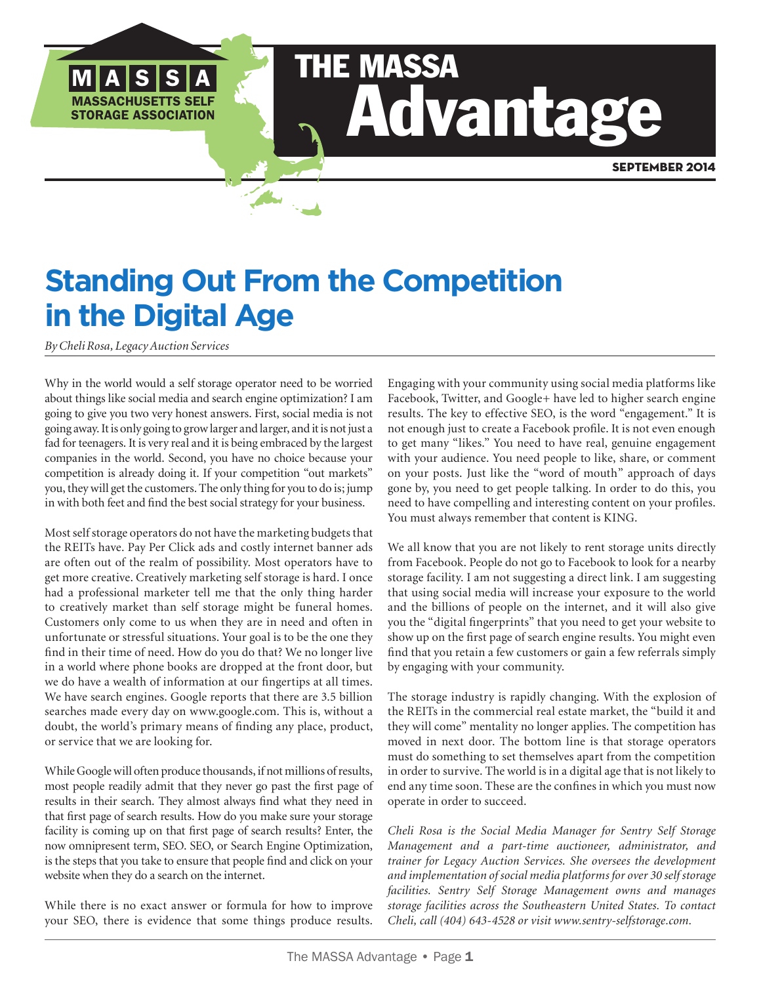# THE MASSA Advantage

## **Standing Out From the Competition in the Digital Age**

*By Cheli Rosa, Legacy Auction Services*

SACHUSETTS SELF STORAGE ASSOCIATION

M | A | S | S | A

Why in the world would a self storage operator need to be worried about things like social media and search engine optimization? I am going to give you two very honest answers. First, social media is not going away. It is only going to grow larger and larger, and it is not just a fad for teenagers. It is very real and it is being embraced by the largest companies in the world. Second, you have no choice because your competition is already doing it. If your competition "out markets" you, they will get the customers. The only thing for you to do is; jump in with both feet and find the best social strategy for your business.

Most self storage operators do not have the marketing budgets that the REITs have. Pay Per Click ads and costly internet banner ads are often out of the realm of possibility. Most operators have to get more creative. Creatively marketing self storage is hard. I once had a professional marketer tell me that the only thing harder to creatively market than self storage might be funeral homes. Customers only come to us when they are in need and often in unfortunate or stressful situations. Your goal is to be the one they find in their time of need. How do you do that? We no longer live in a world where phone books are dropped at the front door, but we do have a wealth of information at our fingertips at all times. We have search engines. Google reports that there are 3.5 billion searches made every day on www.google.com. This is, without a doubt, the world's primary means of finding any place, product, or service that we are looking for.

While Google will often produce thousands, if not millions of results, most people readily admit that they never go past the first page of results in their search. They almost always find what they need in that first page of search results. How do you make sure your storage facility is coming up on that first page of search results? Enter, the now omnipresent term, SEO. SEO, or Search Engine Optimization, is the steps that you take to ensure that people find and click on your website when they do a search on the internet.

While there is no exact answer or formula for how to improve your SEO, there is evidence that some things produce results. Engaging with your community using social media platforms like Facebook, Twitter, and Google+ have led to higher search engine results. The key to effective SEO, is the word "engagement." It is not enough just to create a Facebook profile. It is not even enough to get many "likes." You need to have real, genuine engagement with your audience. You need people to like, share, or comment on your posts. Just like the "word of mouth" approach of days gone by, you need to get people talking. In order to do this, you need to have compelling and interesting content on your profiles. You must always remember that content is KING.

We all know that you are not likely to rent storage units directly from Facebook. People do not go to Facebook to look for a nearby storage facility. I am not suggesting a direct link. I am suggesting that using social media will increase your exposure to the world and the billions of people on the internet, and it will also give you the "digital fingerprints" that you need to get your website to show up on the first page of search engine results. You might even find that you retain a few customers or gain a few referrals simply by engaging with your community.

The storage industry is rapidly changing. With the explosion of the REITs in the commercial real estate market, the "build it and they will come" mentality no longer applies. The competition has moved in next door. The bottom line is that storage operators must do something to set themselves apart from the competition in order to survive. The world is in a digital age that is not likely to end any time soon. These are the confines in which you must now operate in order to succeed.

*Cheli Rosa is the Social Media Manager for Sentry Self Storage Management and a part-time auctioneer, administrator, and trainer for Legacy Auction Services. She oversees the development and implementation of social media platforms for over 30 self storage facilities. Sentry Self Storage Management owns and manages storage facilities across the Southeastern United States. To contact Cheli, call (404) 643-4528 or visit www.sentry-selfstorage.com.*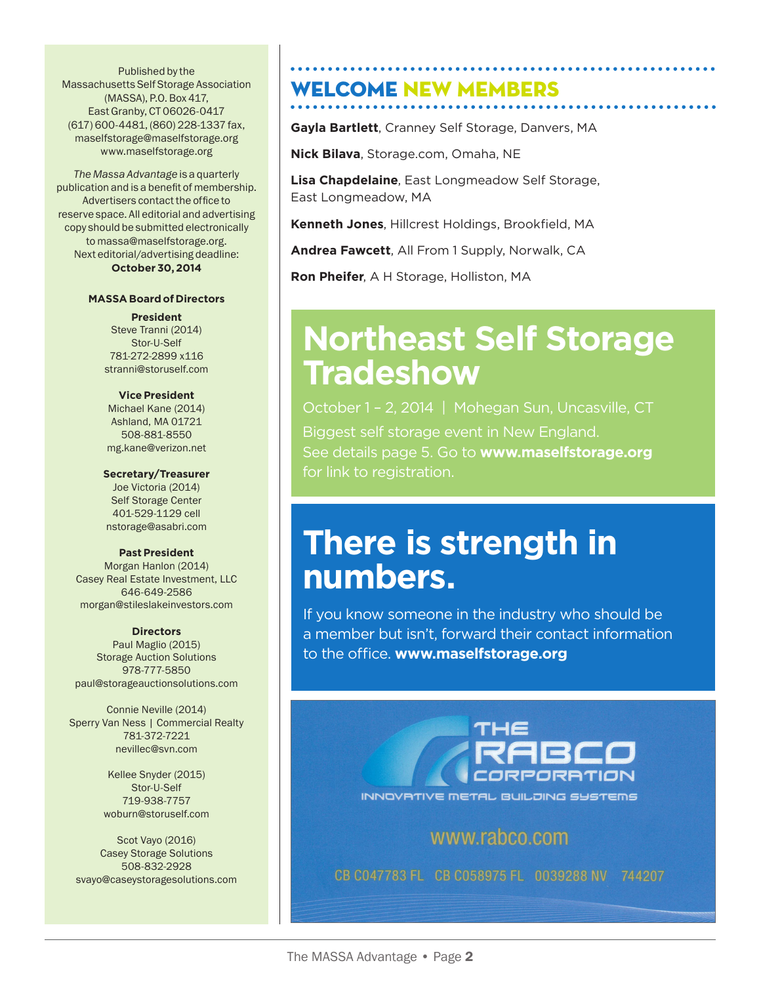end a state of the Published by the  $\overline{R}$ rubilistied by the<br>Massachusetts Self Storage Association *Institute (MASSA), P.O. Box 417,* East Granby, CT 06026-0417<br>Carl 2006, Addis contact of membership. Advertisers contact of the membership. Advertisers contact of the membership. The membership of the membership. The membership of the membership. Contact o  $(617)$  600-4481, (860) 228-1337 fax,  $(617)$ maselfstorage@maselfstorage.org masenstorage@masenstorage.org<br>www.maselfstorage.org electronical music to construction of the construction of the construction of the construction of the construction of the construction of the construction of the construction of the construction of the construction of the The SSA puts on a very good educational and trade show event – hope I see you

P.O. Box 417, East Granby, CT 06026-0417

**The Massa Advantage is a quarterly** publication and is a benefit of membership. Advertisers contact the office to reserve space. All editorial and advertising reserve space. All editorial and advertising<br>copy should be submitted electronically to massa@maselfstorage.org. Directors Next editorial/advertising deadline: **October 30, 2014** signage.

#### **MASSA Board of Directors**  $7.68877$   $\frac{1}{2}$

**President**

**Steve Tranni (2014)** Stor-U-Self 781-272-2899 x116 Jessica Lamoureux (2015) stranni@storuself.com/<br>Bruen Didio Associates Stranni  $20 \text{ nm}$ 30 $20 \text{ nm}$ 

#### **Vice President Vice President**

Michael Kane (2014) **Ashland, MA 01721** 508-881-8550 Michael Barker (2015)<br>508-881-8550 Michael Barker (2015) **mg.kane@verizon.net** 

#### **Secretary/Treasurer**

**IMMEDIATE PAST PRESIDENT PRESIDENT PRESIDENT PRESIDENT PRESIDENT PRESIDENT PRES Self Storage Center** 401-529-1129 cell anstorage@asabri.com

#### **Past President**

Morgan Hanlon (2014) morgan Hanlon (2014)<br>Casey Real Estate Investment, LLC 646-649-2586 morgan@stileslakeinvestors.com State Insurance Insurance Insurance Insurance Insurance Insurance Insurance Insurance Insurance Insurance Insu<br>State Insurance Insurance Insurance Insurance Insurance Insurance Insurance Insurance Insurance Insurance Insu

#### **Directors**

Paul Maglio (2015) **Storage Auction Solutions** 978-777-5850 770-562-2850, robh@janusintl.com paul@storageauctionsolutions.com Brian Riva (2015)

**Connie Neville (2014) Sperry Van Ness | Commercial Realty** 781-372-7221 nevillec@svn.com

> **2015** Kellee Snyder (2015) Stor-U-Self info@millplainselfstorage.com 719-938-7757 woburn@storuself.com

المسيح المسيح المسيح المسيح المسيح المسيح المسيح المسيح المسيح المسيح المسيح المسيح المسيح المسيح المسيح المسي<br>المسيح المسيح المسيح المسيح المسيح المسيح المسيح المسيح المسيح المسيح المسيح المسيح المسيح المسيح المسيح المسي 2016 (2016)<br>203-915-8794, Peter Solutions<br>203-915-8794, Peter Solutions 508-832-2928 svayo@caseystoragesolutions.com<br>EXEC<sub>O</sub>SYAyo@caseystoragesolutions.com svayu@caseystu

#### **COME NEW MEMBERS** there. Speaking of the SSA, please in me to congratulate past CTSSA president JR and JR and JR and JR and JR and JR and JR and JR and JR and JR and JR and JR and JR and JR and JR and JR and JR and JR and JR and JR and JR a

**Gayla Bartlett**, Cranney Self Storage, Danvers, MA

I look forward to attending the SSA spring conference next month in Atlanta.

It's time to start thinking about preparing for spring and the busy season ahead.

**Nick Bilava**, Storage.com, Omaha, NE maintenance proposals, plan to have HVAC systems serviced, assess winter damage

**Lisa Chapdelaine**, East Longmeadow Self Storage, assessed the pavement and general exterior and general exterior and general exterior of the property including  $\sim$ 

**Kenneth Jones**, Hillcrest Holdings, Brookfield, MA

**Andrea Fawcett**, All From 1 Supply, Norwalk, CA

**Ron Pheifer**, A H Storage, Holliston, MA

**Welcome New Members!**

Charlie Fritts

### *CTSSA President* **Northeast Self Storage Tradeshow**

MEMBER NEWS See details page 5. Go to **www.maselfstorage.org**  October 1 - 2, 2014 | Mohegan Sun, Uncasville, CT Biggest self storage event in New England. for link to registration.

## **There is strength in John Papuette, Hometown Self Storage, LLC, Pompette, CTV** Nick Bilava, Storage.com, Omaha, NE

If you know someone in the industry who should be a member but isn't, forward their contact information to the office. **www.maselfstorage.org**



#### www.rabco.com

CB C047783 FL CB C058975 FL 0039288 NV 744207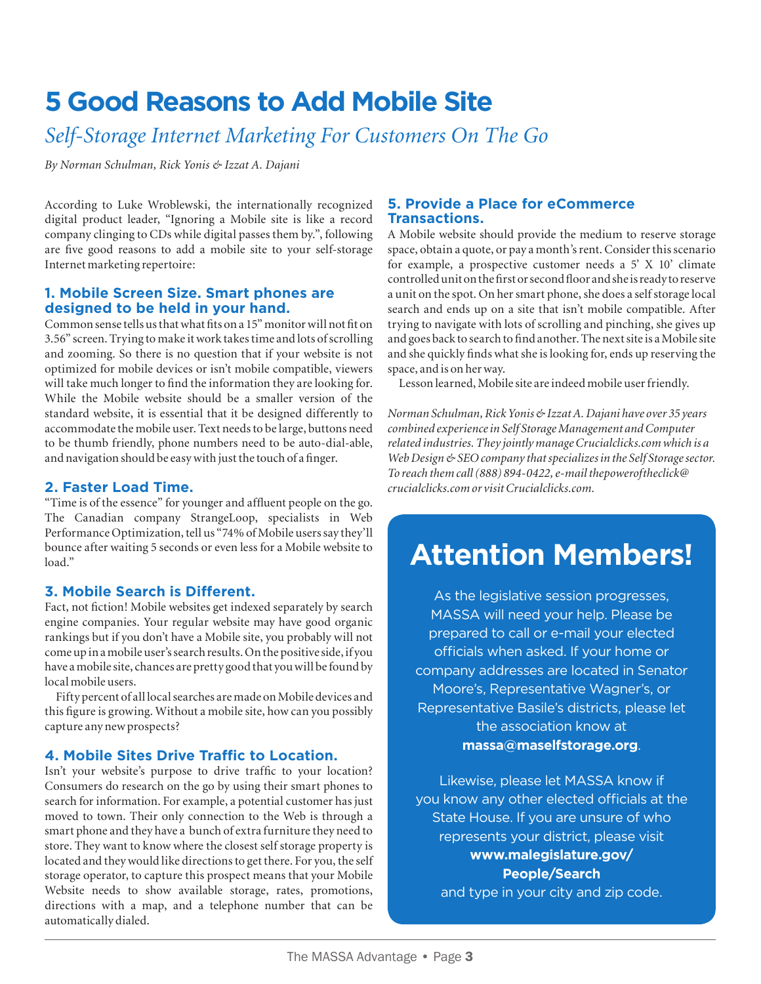## **5 Good Reasons to Add Mobile Site**

## *Self-Storage Internet Marketing For Customers On The Go*

*By Norman Schulman, Rick Yonis & Izzat A. Dajani*

According to Luke Wroblewski, the internationally recognized digital product leader, "Ignoring a Mobile site is like a record company clinging to CDs while digital passes them by.", following are five good reasons to add a mobile site to your self-storage Internet marketing repertoire:

#### **1. Mobile Screen Size. Smart phones are designed to be held in your hand.**

Common sense tells us that what fits on a 15" monitor will not fit on 3.56" screen. Trying to make it work takes time and lots of scrolling and zooming. So there is no question that if your website is not optimized for mobile devices or isn't mobile compatible, viewers will take much longer to find the information they are looking for. While the Mobile website should be a smaller version of the standard website, it is essential that it be designed differently to accommodate the mobile user. Text needs to be large, buttons need to be thumb friendly, phone numbers need to be auto-dial-able, and navigation should be easy with just the touch of a finger.

#### **2. Faster Load Time.**

"Time is of the essence" for younger and affluent people on the go. The Canadian company StrangeLoop, specialists in Web Performance Optimization, tell us "74% of Mobile users say they'll bounce after waiting 5 seconds or even less for a Mobile website to load."

#### **3. Mobile Search is Different.**

Fact, not fiction! Mobile websites get indexed separately by search engine companies. Your regular website may have good organic rankings but if you don't have a Mobile site, you probably will not come up in a mobile user's search results. On the positive side, if you have a mobile site, chances are pretty good that you will be found by local mobile users.

Fifty percent of all local searches are made on Mobile devices and this figure is growing. Without a mobile site, how can you possibly capture any new prospects?

#### **4. Mobile Sites Drive Traffic to Location.**

Isn't your website's purpose to drive traffic to your location? Consumers do research on the go by using their smart phones to search for information. For example, a potential customer has just moved to town. Their only connection to the Web is through a smart phone and they have a bunch of extra furniture they need to store. They want to know where the closest self storage property is located and they would like directions to get there. For you, the self storage operator, to capture this prospect means that your Mobile Website needs to show available storage, rates, promotions, directions with a map, and a telephone number that can be automatically dialed.

#### **5. Provide a Place for eCommerce Transactions.**

A Mobile website should provide the medium to reserve storage space, obtain a quote, or pay a month's rent. Consider this scenario for example, a prospective customer needs a 5' X 10' climate controlled unit on the first or second floor and she is ready to reserve a unit on the spot. On her smart phone, she does a self storage local search and ends up on a site that isn't mobile compatible. After trying to navigate with lots of scrolling and pinching, she gives up and goes back to search to find another. The next site is a Mobile site and she quickly finds what she is looking for, ends up reserving the space, and is on her way.

Lesson learned, Mobile site are indeed mobile user friendly.

*Norman Schulman, Rick Yonis & Izzat A. Dajani have over 35 years combined experience in Self Storage Management and Computer related industries. They jointly manage Crucialclicks.com which is a Web Design & SEO company that specializes in the Self Storage sector. To reach them call (888) 894-0422, e-mail thepoweroftheclick@ crucialclicks.com or visit Crucialclicks.com.*

## **Attention Members!**

As the legislative session progresses, MASSA will need your help. Please be prepared to call or e-mail your elected officials when asked. If your home or company addresses are located in Senator Moore's, Representative Wagner's, or Representative Basile's districts, please let the association know at **massa@maselfstorage.org**.

Likewise, please let MASSA know if you know any other elected officials at the State House. If you are unsure of who represents your district, please visit **www.malegislature.gov/ People/Search** 

and type in your city and zip code.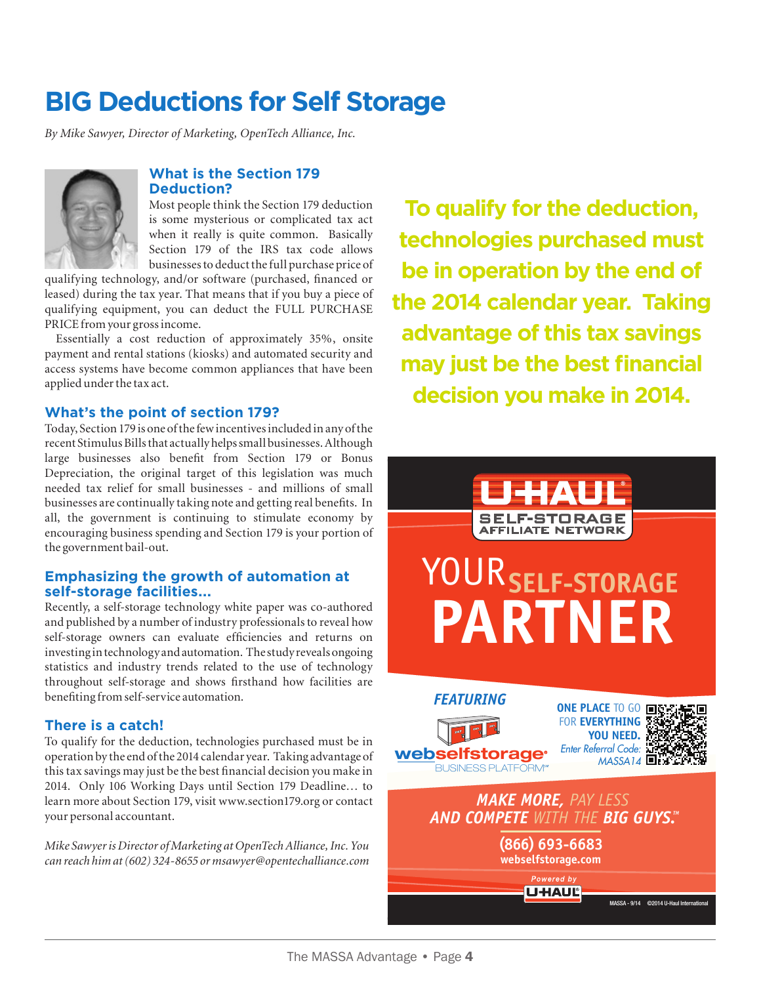## **BIG Deductions for Self Storage**

*By Mike Sawyer, Director of Marketing, OpenTech Alliance, Inc.*



#### **What is the Section 179 Deduction?**

Most people think the Section 179 deduction is some mysterious or complicated tax act when it really is quite common. Basically Section 179 of the IRS tax code allows businesses to deduct the full purchase price of

qualifying technology, and/or software (purchased, financed or leased) during the tax year. That means that if you buy a piece of qualifying equipment, you can deduct the FULL PURCHASE PRICE from your gross income.

Essentially a cost reduction of approximately 35%, onsite payment and rental stations (kiosks) and automated security and access systems have become common appliances that have been applied under the tax act.

#### **What's the point of section 179?**

Today, Section 179 is one of the few incentives included in any of the recent Stimulus Bills that actually helps small businesses. Although large businesses also benefit from Section 179 or Bonus Depreciation, the original target of this legislation was much needed tax relief for small businesses - and millions of small businesses are continually taking note and getting real benefits. In all, the government is continuing to stimulate economy by encouraging business spending and Section 179 is your portion of the government bail-out.

#### **Emphasizing the growth of automation at self-storage facilities...**

Recently, a self-storage technology white paper was co-authored and published by a number of industry professionals to reveal how self-storage owners can evaluate efficiencies and returns on investing in technology and automation. The study reveals ongoing statistics and industry trends related to the use of technology throughout self-storage and shows firsthand how facilities are benefiting from self-service automation.

#### **There is a catch!**

To qualify for the deduction, technologies purchased must be in operation by the end of the 2014 calendar year. Taking advantage of this tax savings may just be the best financial decision you make in 2014. Only 106 Working Days until Section 179 Deadline… to learn more about Section 179, visit www.section179.org or contact your personal accountant.

*Mike Sawyer is Director of Marketing at OpenTech Alliance, Inc. You can reach him at (602) 324-8655 or msawyer@opentechalliance.com* 

**To qualify for the deduction, technologies purchased must be in operation by the end of the 2014 calendar year. Taking advantage of this tax savings may just be the best financial decision you make in 2014.**

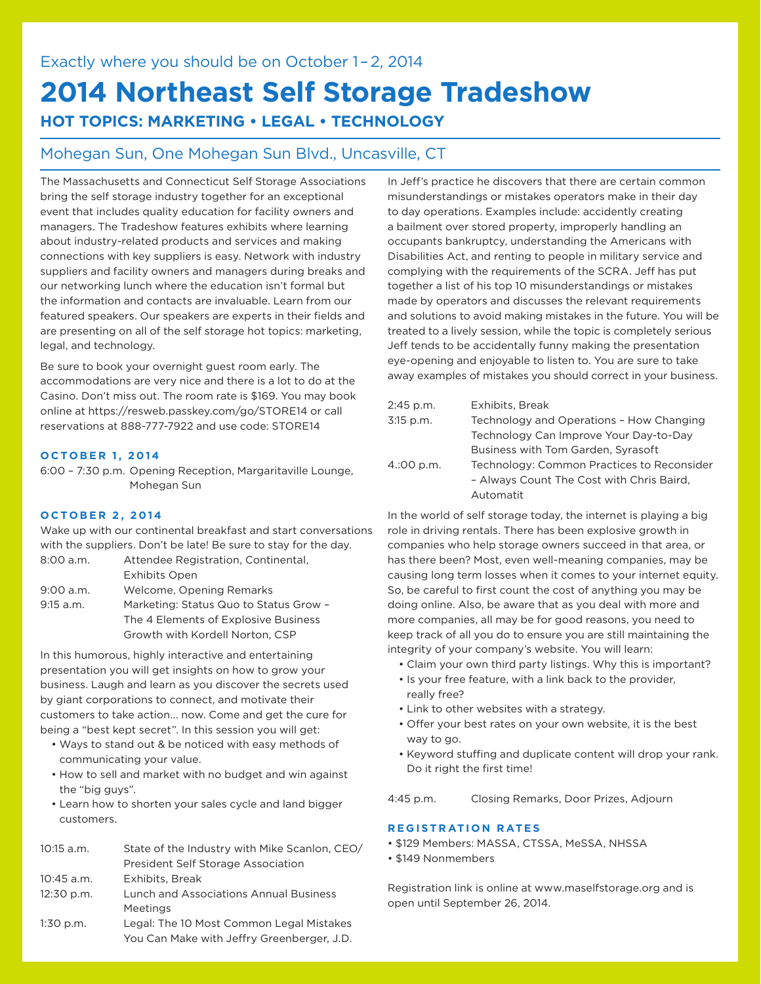## **2014 Northeast Self Storage Tradeshow HOT TOPICS: MARKETING • LEGAL • TECHNOLOGY**

#### Mohegan Sun, One Mohegan Sun Blvd., Uncasville, CT

The Massachusetts and Connecticut Self Storage Associations bring the self storage industry together for an exceptional event that includes quality education for facility owners and managers. The Tradeshow features exhibits where learning about industry-related products and services and making connections with key suppliers is easy. Network with industry suppliers and facility owners and managers during breaks and our networking lunch where the education isn't formal but the information and contacts are invaluable. Learn from our featured speakers. Our speakers are experts in their fields and are presenting on all of the self storage hot topics: marketing, legal, and technology.

Be sure to book your overnight guest room early. The accommodations are very nice and there is a lot to do at the Casino. Don't miss out. The room rate is \$169. You may book online at https://resweb.passkey.com/go/STORE14 or call reservations at 888-777-7922 and use code: STORE14

#### **OCTOBER 1, 2014**

6:00 – 7:30 p.m. Opening Reception, Margaritaville Lounge, Mohegan Sun

#### **OCTOBER 2, 2014**

Wake up with our continental breakfast and start conversations with the suppliers. Don't be late! Be sure to stay for the day.

| 8:00 a.m.   | Attendee Registration, Continental,    |
|-------------|----------------------------------------|
|             | <b>Exhibits Open</b>                   |
| $9:00$ a.m. | Welcome, Opening Remarks               |
| $9:15$ a.m. | Marketing: Status Quo to Status Grow - |
|             | The 4 Elements of Explosive Business   |
|             | Growth with Kordell Norton, CSP        |

In this humorous, highly interactive and entertaining presentation you will get insights on how to grow your business. Laugh and learn as you discover the secrets used by giant corporations to connect, and motivate their customers to take action... now. Come and get the cure for being a "best kept secret". In this session you will get:

- Ways to stand out & be noticed with easy methods of communicating your value.
- How to sell and market with no budget and win against the "big guys".
- Learn how to shorten your sales cycle and land bigger customers.

| $10:15$ a.m. | State of the Industry with Mike Scanlon, CEO/ |
|--------------|-----------------------------------------------|
|              | President Self Storage Association            |
| $10:45$ a.m. | Exhibits, Break                               |
| 12:30 p.m.   | <b>Lunch and Associations Annual Business</b> |
|              | Meetings                                      |
| $1:30$ p.m.  | Legal: The 10 Most Common Legal Mistakes      |
|              | You Can Make with Jeffry Greenberger, J.D.    |
|              |                                               |

In Jeff's practice he discovers that there are certain common misunderstandings or mistakes operators make in their day to day operations. Examples include: accidently creating a bailment over stored property, improperly handling an occupants bankruptcy, understanding the Americans with Disabilities Act, and renting to people in military service and complying with the requirements of the SCRA. Jeff has put together a list of his top 10 misunderstandings or mistakes made by operators and discusses the relevant requirements and solutions to avoid making mistakes in the future. You will be treated to a lively session, while the topic is completely serious Jeff tends to be accidentally funny making the presentation eye-opening and enjoyable to listen to. You are sure to take away examples of mistakes you should correct in your business.

| 2:45 p.m.  | Exhibits, Break                            |
|------------|--------------------------------------------|
| 3:15 p.m.  | Technology and Operations - How Changing   |
|            | Technology Can Improve Your Day-to-Day     |
|            | Business with Tom Garden, Syrasoft         |
| 4.:00 p.m. | Technology: Common Practices to Reconsider |
|            | - Always Count The Cost with Chris Baird,  |
|            | Automatit                                  |

In the world of self storage today, the internet is playing a big role in driving rentals. There has been explosive growth in companies who help storage owners succeed in that area, or has there been? Most, even well-meaning companies, may be causing long term losses when it comes to your internet equity. So, be careful to first count the cost of anything you may be doing online. Also, be aware that as you deal with more and more companies, all may be for good reasons, you need to keep track of all you do to ensure you are still maintaining the integrity of your company's website. You will learn:

- Claim your own third party listings. Why this is important?
- Is your free feature, with a link back to the provider, really free?
- Link to other websites with a strategy.
- Offer your best rates on your own website, it is the best way to go.
- Keyword stuffing and duplicate content will drop your rank. Do it right the first time!

4:45 p.m. Closing Remarks, Door Prizes, Adjourn

#### **REGISTRATION RATES**

- \$129 Members: MASSA, CTSSA, MeSSA, NHSSA
- \$149 Nonmembers

Registration link is online at www.maselfstorage.org and is open until September 26, 2014.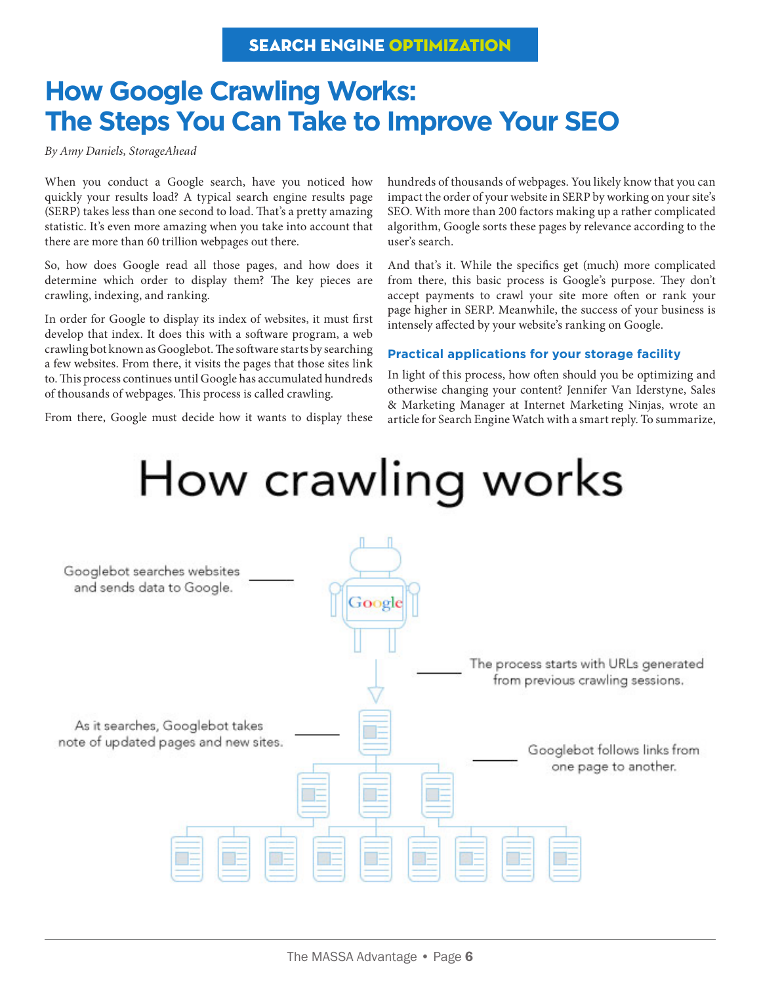#### SEARCH ENGINE OPTIMIZATION

## **How Google Crawling Works: The Steps You Can Take to Improve Your SEO**

*By Amy Daniels, StorageAhead*

When you conduct a Google search, have you noticed how quickly your results load? A typical search engine results page (SERP) takes less than one second to load. That's a pretty amazing statistic. It's even more amazing when you take into account that there are more than 60 trillion webpages out there.

So, how does Google read all those pages, and how does it determine which order to display them? The key pieces are crawling, indexing, and ranking.

In order for Google to display its index of websites, it must first develop that index. It does this with a software program, a web crawling bot known as Googlebot. The software starts by searching a few websites. From there, it visits the pages that those sites link to. This process continues until Google has accumulated hundreds of thousands of webpages. This process is called crawling.

From there, Google must decide how it wants to display these

hundreds of thousands of webpages. You likely know that you can impact the order of your website in SERP by working on your site's SEO. With more than 200 factors making up a rather complicated algorithm, Google sorts these pages by relevance according to the user's search.

And that's it. While the specifics get (much) more complicated from there, this basic process is Google's purpose. They don't accept payments to crawl your site more often or rank your page higher in SERP. Meanwhile, the success of your business is intensely affected by your website's ranking on Google.

#### **Practical applications for your storage facility**

In light of this process, how often should you be optimizing and otherwise changing your content? Jennifer Van Iderstyne, Sales & Marketing Manager at Internet Marketing Ninjas, wrote an article for Search Engine Watch with a smart reply. To summarize,

## How crawling works

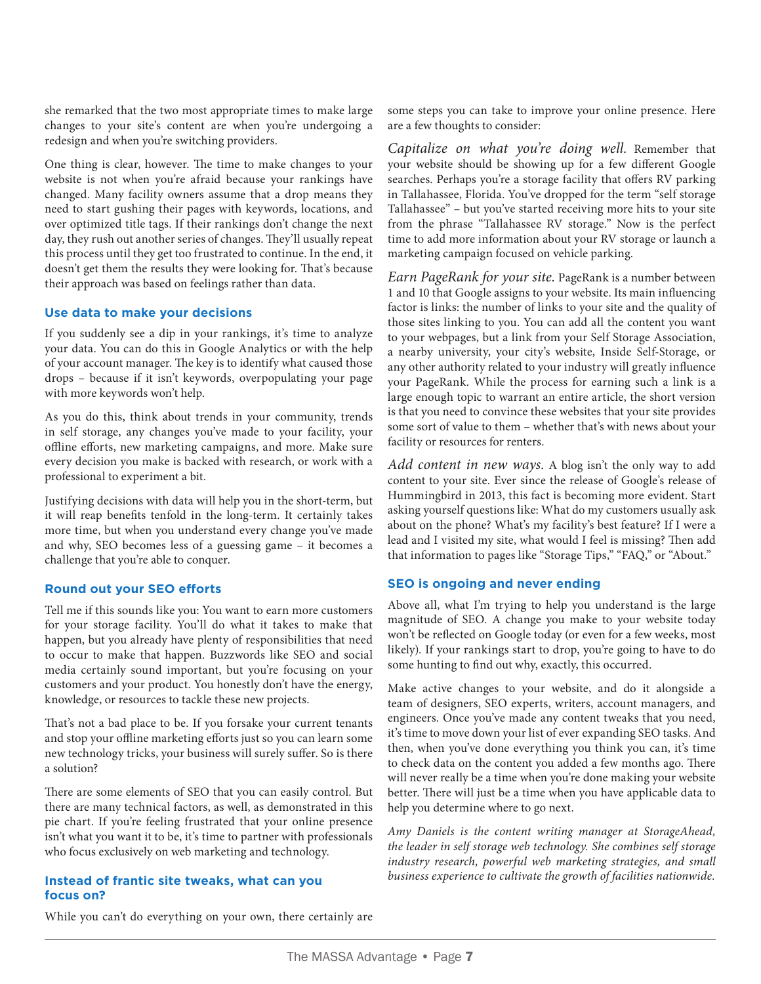she remarked that the two most appropriate times to make large changes to your site's content are when you're undergoing a redesign and when you're switching providers.

One thing is clear, however. The time to make changes to your website is not when you're afraid because your rankings have changed. Many facility owners assume that a drop means they need to start gushing their pages with keywords, locations, and over optimized title tags. If their rankings don't change the next day, they rush out another series of changes. They'll usually repeat this process until they get too frustrated to continue. In the end, it doesn't get them the results they were looking for. That's because their approach was based on feelings rather than data.

#### **Use data to make your decisions**

If you suddenly see a dip in your rankings, it's time to analyze your data. You can do this in Google Analytics or with the help of your account manager. The key is to identify what caused those drops – because if it isn't keywords, overpopulating your page with more keywords won't help.

As you do this, think about trends in your community, trends in self storage, any changes you've made to your facility, your offline efforts, new marketing campaigns, and more. Make sure every decision you make is backed with research, or work with a professional to experiment a bit.

Justifying decisions with data will help you in the short-term, but it will reap benefits tenfold in the long-term. It certainly takes more time, but when you understand every change you've made and why, SEO becomes less of a guessing game – it becomes a challenge that you're able to conquer.

#### **Round out your SEO efforts**

Tell me if this sounds like you: You want to earn more customers for your storage facility. You'll do what it takes to make that happen, but you already have plenty of responsibilities that need to occur to make that happen. Buzzwords like SEO and social media certainly sound important, but you're focusing on your customers and your product. You honestly don't have the energy, knowledge, or resources to tackle these new projects.

That's not a bad place to be. If you forsake your current tenants and stop your offline marketing efforts just so you can learn some new technology tricks, your business will surely suffer. So is there a solution?

There are some elements of SEO that you can easily control. But there are many technical factors, as well, as demonstrated in this pie chart. If you're feeling frustrated that your online presence isn't what you want it to be, it's time to partner with professionals who focus exclusively on web marketing and technology.

#### **Instead of frantic site tweaks, what can you focus on?**

some steps you can take to improve your online presence. Here are a few thoughts to consider:

*Capitalize on what you're doing well.* Remember that your website should be showing up for a few different Google searches. Perhaps you're a storage facility that offers RV parking in Tallahassee, Florida. You've dropped for the term "self storage Tallahassee" – but you've started receiving more hits to your site from the phrase "Tallahassee RV storage." Now is the perfect time to add more information about your RV storage or launch a marketing campaign focused on vehicle parking.

*Earn PageRank for your site.* PageRank is a number between 1 and 10 that Google assigns to your website. Its main influencing factor is links: the number of links to your site and the quality of those sites linking to you. You can add all the content you want to your webpages, but a link from your Self Storage Association, a nearby university, your city's website, Inside Self-Storage, or any other authority related to your industry will greatly influence your PageRank. While the process for earning such a link is a large enough topic to warrant an entire article, the short version is that you need to convince these websites that your site provides some sort of value to them – whether that's with news about your facility or resources for renters.

*Add content in new ways.* A blog isn't the only way to add content to your site. Ever since the release of Google's release of Hummingbird in 2013, this fact is becoming more evident. Start asking yourself questions like: What do my customers usually ask about on the phone? What's my facility's best feature? If I were a lead and I visited my site, what would I feel is missing? Then add that information to pages like "Storage Tips," "FAQ," or "About."

#### **SEO is ongoing and never ending**

Above all, what I'm trying to help you understand is the large magnitude of SEO. A change you make to your website today won't be reflected on Google today (or even for a few weeks, most likely). If your rankings start to drop, you're going to have to do some hunting to find out why, exactly, this occurred.

Make active changes to your website, and do it alongside a team of designers, SEO experts, writers, account managers, and engineers. Once you've made any content tweaks that you need, it's time to move down your list of ever expanding SEO tasks. And then, when you've done everything you think you can, it's time to check data on the content you added a few months ago. There will never really be a time when you're done making your website better. There will just be a time when you have applicable data to help you determine where to go next.

*Amy Daniels is the content writing manager at StorageAhead, the leader in self storage web technology. She combines self storage industry research, powerful web marketing strategies, and small business experience to cultivate the growth of facilities nationwide.*

While you can't do everything on your own, there certainly are